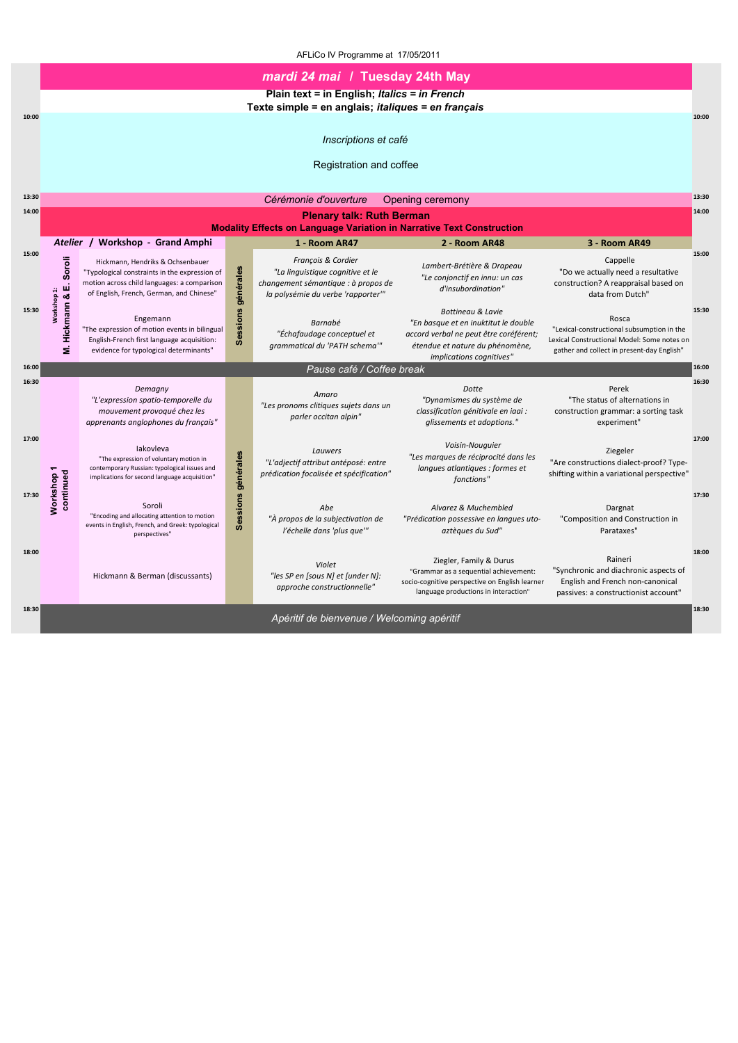|       |                                | mardi 24 mai / Tuesday 24th May                                                                                                                                              |                    |                                                                                                                                     |                                                                                                                                                                    |                                                                                                                                                  |       |  |  |
|-------|--------------------------------|------------------------------------------------------------------------------------------------------------------------------------------------------------------------------|--------------------|-------------------------------------------------------------------------------------------------------------------------------------|--------------------------------------------------------------------------------------------------------------------------------------------------------------------|--------------------------------------------------------------------------------------------------------------------------------------------------|-------|--|--|
|       |                                |                                                                                                                                                                              |                    | Plain text = in English; Italics = in French<br>Texte simple = en anglais; <i>italiques = en français</i>                           |                                                                                                                                                                    |                                                                                                                                                  |       |  |  |
| 10:00 |                                |                                                                                                                                                                              |                    |                                                                                                                                     |                                                                                                                                                                    |                                                                                                                                                  | 10:00 |  |  |
|       |                                |                                                                                                                                                                              |                    | Inscriptions et café                                                                                                                |                                                                                                                                                                    |                                                                                                                                                  |       |  |  |
|       |                                |                                                                                                                                                                              |                    | Registration and coffee                                                                                                             |                                                                                                                                                                    |                                                                                                                                                  |       |  |  |
| 13:30 |                                |                                                                                                                                                                              |                    | Cérémonie d'ouverture                                                                                                               | Opening ceremony                                                                                                                                                   |                                                                                                                                                  | 13:30 |  |  |
| 14:00 |                                |                                                                                                                                                                              |                    | <b>Plenary talk: Ruth Berman</b><br><b>Modality Effects on Language Variation in Narrative Text Construction</b>                    |                                                                                                                                                                    |                                                                                                                                                  | 14:00 |  |  |
|       | <b>Atelier</b>                 | <b>Workshop - Grand Amphi</b>                                                                                                                                                |                    | 1 - Room AR47                                                                                                                       | 2 - Room AR48                                                                                                                                                      | 3 - Room AR49                                                                                                                                    |       |  |  |
| 15:00 | Soroli<br>ш                    | Hickmann, Hendriks & Ochsenbauer<br>"Typological constraints in the expression of<br>motion across child languages: a comparison<br>of English, French, German, and Chinese" | générales          | François & Cordier<br>"La linguistique cognitive et le<br>changement sémantique : à propos de<br>la polysémie du verbe 'rapporter'" | Lambert-Brétière & Drapeau<br>"Le conjonctif en innu: un cas<br>d'insubordination"                                                                                 | Cappelle<br>"Do we actually need a resultative<br>construction? A reappraisal based on<br>data from Dutch"                                       | 15:00 |  |  |
| 15:30 | Workshop 1:<br>Hickmann &<br>έ | Engemann<br>"The expression of motion events in bilingual<br>English-French first language acquisition:<br>evidence for typological determinants"                            | Sessions           | Barnabé<br>"Échafaudage conceptuel et<br>grammatical du 'PATH schema'"                                                              | Bottineau & Lavie<br>"En basque et en inuktitut le double<br>accord verbal ne peut être coréférent;<br>étendue et nature du phénomène,<br>implications cognitives" | Rosca<br>"Lexical-constructional subsumption in the<br>Lexical Constructional Model: Some notes on<br>gather and collect in present-day English" | 15:30 |  |  |
| 16:00 |                                |                                                                                                                                                                              |                    | Pause café / Coffee break                                                                                                           |                                                                                                                                                                    |                                                                                                                                                  | 16:00 |  |  |
| 16:30 |                                | Demagny<br>"L'expression spatio-temporelle du<br>mouvement provoqué chez les<br>apprenants anglophones du français"                                                          |                    | Amaro<br>"Les pronoms clitiques sujets dans un<br>parler occitan alpin"                                                             | Dotte<br>"Dynamismes du système de<br>classification génitivale en iaai :<br>glissements et adoptions."                                                            | Perek<br>"The status of alternations in<br>construction grammar: a sorting task<br>experiment"                                                   | 16:30 |  |  |
| 17:00 |                                | lakovleva<br>"The expression of voluntary motion in<br>contemporary Russian: typological issues and<br>implications for second language acquisition"                         |                    | Lauwers<br>"L'adjectif attribut antéposé: entre<br>prédication focalisée et spécification"                                          | Voisin-Nouguier<br>"Les marques de réciprocité dans les<br>langues atlantiques : formes et<br>fonctions"                                                           | Ziegeler<br>"Are constructions dialect-proof? Type-<br>shifting within a variational perspective"                                                | 17:00 |  |  |
| 17:30 | Workshop 1<br>continued        | Soroli<br>"Encoding and allocating attention to motion<br>events in English, French, and Greek: typological<br>perspectives"                                                 | Sessions générales | Abe<br>"À propos de la subjectivation de<br>l'échelle dans 'plus que'"                                                              | Alvarez & Muchembled<br>"Prédication possessive en langues uto-<br>aztèques du Sud"                                                                                | Dargnat<br>"Composition and Construction in<br>Parataxes"                                                                                        | 17:30 |  |  |
| 18:00 |                                | Hickmann & Berman (discussants)                                                                                                                                              |                    | Violet<br>"les SP en [sous N] et [under N]:<br>approche constructionnelle"                                                          | Ziegler, Family & Durus<br>"Grammar as a sequential achievement:<br>socio-cognitive perspective on English learner<br>language productions in interaction"         | Raineri<br>"Synchronic and diachronic aspects of<br>English and French non-canonical<br>passives: a constructionist account"                     | 18:00 |  |  |
| 18:30 |                                |                                                                                                                                                                              |                    | Apéritif de bienvenue / Welcoming apéritif                                                                                          |                                                                                                                                                                    |                                                                                                                                                  | 18:30 |  |  |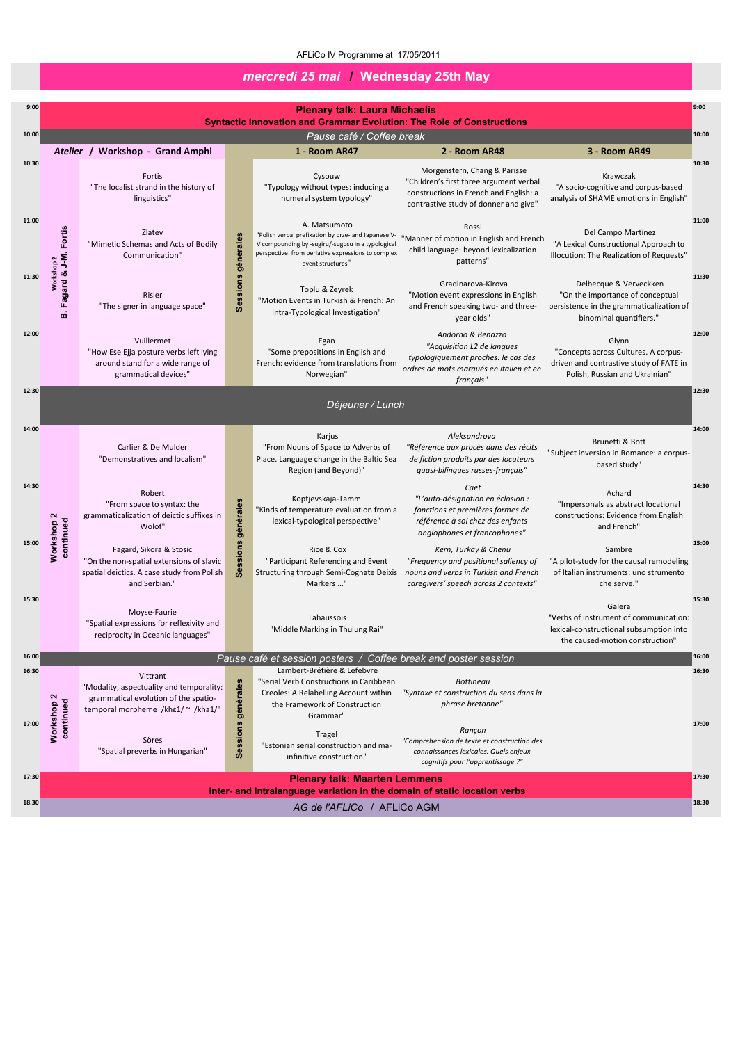| 9:00           |                                      |                                                                                                                                    |                    | <b>Plenary talk: Laura Michaelis</b>                                                                                                                                                                |                                                                                                                                                            |                                                                                                                                   |
|----------------|--------------------------------------|------------------------------------------------------------------------------------------------------------------------------------|--------------------|-----------------------------------------------------------------------------------------------------------------------------------------------------------------------------------------------------|------------------------------------------------------------------------------------------------------------------------------------------------------------|-----------------------------------------------------------------------------------------------------------------------------------|
| 10:00          |                                      |                                                                                                                                    |                    | <b>Syntactic Innovation and Grammar Evolution: The Role of Constructions</b>                                                                                                                        |                                                                                                                                                            |                                                                                                                                   |
|                |                                      | Atelier / Workshop - Grand Amphi                                                                                                   |                    | Pause café / Coffee break<br>1 - Room AR47                                                                                                                                                          | 2 - Room AR48                                                                                                                                              | 3 - Room AR49                                                                                                                     |
| 10:30          |                                      | Fortis<br>"The localist strand in the history of<br>linguistics"                                                                   |                    | Cysouw<br>"Typology without types: inducing a<br>numeral system typology"                                                                                                                           | Morgenstern, Chang & Parisse<br>"Children's first three argument verbal<br>constructions in French and English: a<br>contrastive study of donner and give" | Krawczak<br>"A socio-cognitive and corpus-based<br>analysis of SHAME emotions in English"                                         |
| 11:00          | workshop 2 :<br>Fagard & J-M. Fortis | Zlatev<br>"Mimetic Schemas and Acts of Bodily<br>Communication"                                                                    | générales          | A. Matsumoto<br>"Polish verbal prefixation by prze- and Japanese V-<br>V compounding by -sugiru/-sugosu in a typological<br>perspective: from perlative expressions to complex<br>event structures" | Rossi<br>"Manner of motion in English and French<br>child language: beyond lexicalization<br>patterns"                                                     | Del Campo Martínez<br>"A Lexical Constructional Approach to<br>Illocution: The Realization of Requests"                           |
| 11:30          | $\mathbf{m}$                         | Risler<br>"The signer in language space"                                                                                           | Sessions           | Toplu & Zeyrek<br>"Motion Events in Turkish & French: An<br>Intra-Typological Investigation"                                                                                                        | Gradinarova-Kirova<br>"Motion event expressions in English<br>and French speaking two- and three-<br>year olds"                                            | Delbecque & Verveckken<br>"On the importance of conceptual<br>persistence in the grammaticalization of<br>binominal quantifiers." |
| 12:00          |                                      | Vuillermet<br>"How Ese Ejja posture verbs left lying<br>around stand for a wide range of<br>grammatical devices"                   |                    | Egan<br>"Some prepositions in English and<br>French: evidence from translations from<br>Norwegian"                                                                                                  | Andorno & Benazzo<br>"Acquisition L2 de langues<br>typologiquement proches: le cas des<br>ordres de mots marqués en italien et en<br>français"             | Glynn<br>"Concepts across Cultures. A corpus-<br>driven and contrastive study of FATE in<br>Polish, Russian and Ukrainian"        |
| 12:30          |                                      |                                                                                                                                    |                    | Déjeuner / Lunch                                                                                                                                                                                    |                                                                                                                                                            |                                                                                                                                   |
| 14:00          |                                      | Carlier & De Mulder<br>"Demonstratives and localism"                                                                               |                    | Karjus<br>"From Nouns of Space to Adverbs of<br>Place. Language change in the Baltic Sea<br>Region (and Beyond)"                                                                                    | Aleksandrova<br>"Référence aux procès dans des récits<br>de fiction produits par des locuteurs<br>quasi-bilingues russes-français"                         | Brunetti & Bott<br>"Subject inversion in Romance: a corpus-<br>based study"                                                       |
| 14:30          | $\mathbf{\Omega}$<br>continued       | Robert<br>"From space to syntax: the<br>grammaticalization of deictic suffixes in<br>Wolof"                                        | générales          | Koptjevskaja-Tamm<br>"Kinds of temperature evaluation from a<br>lexical-typological perspective"                                                                                                    | Caet<br>"L'auto-désignation en éclosion :<br>fonctions et premières formes de<br>référence à soi chez des enfants<br>anglophones et francophones"          | Achard<br>"Impersonals as abstract locational<br>constructions: Evidence from English<br>and French"                              |
| 15:00          | Workshop                             | Fagard, Sikora & Stosic<br>"On the non-spatial extensions of slavic<br>spatial deictics. A case study from Polish<br>and Serbian." | <b>Sessions</b>    | Rice & Cox<br>"Participant Referencing and Event<br>Structuring through Semi-Cognate Deixis<br>Markers "                                                                                            | Kern, Turkay & Chenu<br>"Frequency and positional saliency of<br>nouns and verbs in Turkish and French<br>caregivers' speech across 2 contexts"            | Sambre<br>"A pilot-study for the causal remodeling<br>of Italian instruments: uno strumento<br>che serve."                        |
| 15:30          |                                      | Moyse-Faurie<br>"Spatial expressions for reflexivity and<br>reciprocity in Oceanic languages"                                      |                    | Lahaussois<br>"Middle Marking in Thulung Rai"                                                                                                                                                       |                                                                                                                                                            | Galera<br>"Verbs of instrument of communication:<br>lexical-constructional subsumption into<br>the caused-motion construction"    |
| 16:00          |                                      |                                                                                                                                    |                    | Pause café et session posters / Coffee break and poster session                                                                                                                                     |                                                                                                                                                            |                                                                                                                                   |
| 16:30<br>17:00 | N<br>continued<br>Workshop           | Vittrant<br>"Modality, aspectuality and temporality:<br>grammatical evolution of the spatio-<br>temporal morpheme /khε1/~ /kha1/"  | Sessions générales | Lambert-Brétière & Lefebvre<br>"Serial Verb Constructions in Caribbean<br>Creoles: A Relabelling Account within<br>the Framework of Construction<br>Grammar"                                        | <b>Bottineau</b><br>"Syntaxe et construction du sens dans la<br>phrase bretonne"                                                                           |                                                                                                                                   |
|                |                                      | Söres<br>"Spatial preverbs in Hungarian"                                                                                           |                    | Tragel<br>"Estonian serial construction and ma-<br>infinitive construction"                                                                                                                         | Rançon<br>"Compréhension de texte et construction des<br>connaissances lexicales. Quels enjeux<br>cognitifs pour l'apprentissage ?"                        |                                                                                                                                   |

# *mercredi 25 mai* **/ Wednesday 25th May**

| 17:30 | <b>Plenary talk: Maarten Lemmens</b>                                      | 17:30 |  |  |  |
|-------|---------------------------------------------------------------------------|-------|--|--|--|
|       | Inter- and intralanguage variation in the domain of static location verbs |       |  |  |  |
| 18:30 | AG de l'AFLICo / AFLICo AGM                                               | 18:30 |  |  |  |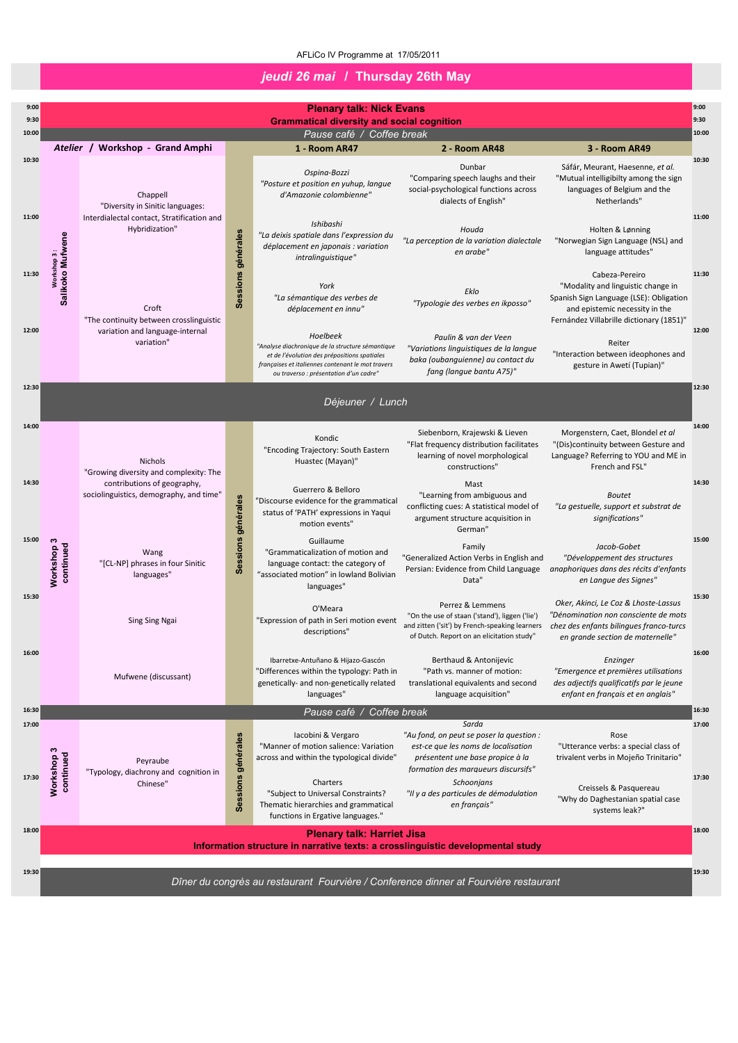| 17:30 | $\boldsymbol{\omega}$<br>continued<br>rkshop | Peyraube<br>"Typology, diachrony and cognition in<br>Chinese" | rales<br>généi<br>Session | lacobini & Vergaro<br>"Manner of motion salience: Variation<br>across and within the typological divide"<br>Charters<br>"Subject to Universal Constraints?<br>Thematic hierarchies and grammatical<br>functions in Ergative languages." | "Au fond, on peut se poser la question :<br>est-ce que les noms de localisation<br>présentent une base propice à la<br>formation des marqueurs discursifs"<br>Schoonjans<br>"Il y a des particules de démodulation<br>en français" | Rose<br>"Utterance verbs: a special class of<br>trivalent verbs in Mojeño Trinitario"<br>Creissels & Pasquereau<br>"Why do Daghestanian spatial case<br>systems leak?" | 17:30 |
|-------|----------------------------------------------|---------------------------------------------------------------|---------------------------|-----------------------------------------------------------------------------------------------------------------------------------------------------------------------------------------------------------------------------------------|------------------------------------------------------------------------------------------------------------------------------------------------------------------------------------------------------------------------------------|------------------------------------------------------------------------------------------------------------------------------------------------------------------------|-------|
| 18:00 |                                              |                                                               |                           | <b>Plenary talk: Harriet Jisa</b><br>Information structure in narrative texts: a crosslinguistic developmental study                                                                                                                    |                                                                                                                                                                                                                                    |                                                                                                                                                                        | 18:00 |
| 19:30 |                                              |                                                               |                           | Dîner du congrès au restaurant Fourvière / Conference dinner at Fourvière restaurant                                                                                                                                                    |                                                                                                                                                                                                                                    |                                                                                                                                                                        | 19:30 |

| 9:00  |                                |                                                                        |                    | <b>Plenary talk: Nick Evans</b>                                                                                                                                                                             |                                                                                                                                                                     |                                                                                                                                                                               | 9:00  |
|-------|--------------------------------|------------------------------------------------------------------------|--------------------|-------------------------------------------------------------------------------------------------------------------------------------------------------------------------------------------------------------|---------------------------------------------------------------------------------------------------------------------------------------------------------------------|-------------------------------------------------------------------------------------------------------------------------------------------------------------------------------|-------|
| 9:30  |                                |                                                                        |                    | <b>Grammatical diversity and social cognition</b>                                                                                                                                                           |                                                                                                                                                                     |                                                                                                                                                                               | 9:30  |
| 10:00 |                                |                                                                        |                    | Pause café / Coffee break                                                                                                                                                                                   |                                                                                                                                                                     |                                                                                                                                                                               | 10:00 |
|       |                                | Atelier / Workshop - Grand Amphi                                       |                    | 1 - Room AR47                                                                                                                                                                                               | 2 - Room AR48                                                                                                                                                       | 3 - Room AR49                                                                                                                                                                 |       |
| 10:30 |                                | Chappell<br>"Diversity in Sinitic languages:                           |                    | Ospina-Bozzi<br>"Posture et position en yuhup, langue<br>d'Amazonie colombienne"                                                                                                                            | Dunbar<br>"Comparing speech laughs and their<br>social-psychological functions across<br>dialects of English"                                                       | Sáfár, Meurant, Haesenne, et al.<br>"Mutual intelligibilty among the sign<br>languages of Belgium and the<br>Netherlands"                                                     | 10:30 |
| 11:00 |                                | Interdialectal contact, Stratification and<br>Hybridization"           |                    | Ishibashi<br>"La deixis spatiale dans l'expression du<br>déplacement en japonais : variation<br>intralinguistique"                                                                                          | Houda<br>"La perception de la variation dialectale<br>en arabe"                                                                                                     | Holten & Lønning<br>"Norwegian Sign Language (NSL) and<br>language attitudes"                                                                                                 | 11:00 |
| 11:30 | Salikoko Mufwene<br>Workshop 3 | Croft<br>"The continuity between crosslinguistic                       | Sessions générales | York<br>"La sémantique des verbes de<br>déplacement en innu"                                                                                                                                                | Eklo<br>"Typologie des verbes en ikposso"                                                                                                                           | Cabeza-Pereiro<br>"Modality and linguistic change in<br>Spanish Sign Language (LSE): Obligation<br>and epistemic necessity in the<br>Fernández Villabrille dictionary (1851)" | 11:30 |
| 12:00 |                                | variation and language-internal<br>variation"                          |                    | Hoelbeek<br>"Analyse diachronique de la structure sémantique<br>et de l'évolution des prépositions spatiales<br>françaises et italiennes contenant le mot travers<br>ou traverso : présentation d'un cadre" | Paulin & van der Veen<br>"Variations linguistiques de la langue<br>baka (oubanguienne) au contact du<br>fang (langue bantu A75)"                                    | Reiter<br>"Interaction between ideophones and<br>gesture in Awetí (Tupian)"                                                                                                   | 12:00 |
| 12:30 |                                |                                                                        |                    | Déjeuner / Lunch                                                                                                                                                                                            |                                                                                                                                                                     |                                                                                                                                                                               | 12:30 |
| 14:00 |                                | <b>Nichols</b><br>"Growing diversity and complexity: The               |                    | Kondic<br>"Encoding Trajectory: South Eastern<br>Huastec (Mayan)"                                                                                                                                           | Siebenborn, Krajewski & Lieven<br>"Flat frequency distribution facilitates<br>learning of novel morphological<br>constructions"                                     | Morgenstern, Caet, Blondel et al<br>"(Dis)continuity between Gesture and<br>Language? Referring to YOU and ME in<br>French and FSL"                                           | 14:00 |
| 14:30 |                                | contributions of geography,<br>sociolinguistics, demography, and time" |                    | Guerrero & Belloro<br>"Discourse evidence for the grammatical<br>status of 'PATH' expressions in Yaqui<br>motion events"                                                                                    | Mast<br>"Learning from ambiguous and<br>conflicting cues: A statistical model of<br>argument structure acquisition in<br>German"                                    | <b>Boutet</b><br>"La gestuelle, support et substrat de<br>significations"                                                                                                     | 14:30 |
| 15:00 | က<br>continued<br>Workshop     | Wang<br>"[CL-NP] phrases in four Sinitic<br>languages"                 | Sessions générales | Guillaume<br>"Grammaticalization of motion and<br>language contact: the category of<br>"associated motion" in lowland Bolivian<br>languages"                                                                | Family<br>"Generalized Action Verbs in English and<br>Persian: Evidence from Child Language<br>Data"                                                                | Jacob-Gobet<br>"Développement des structures<br>anaphoriques dans des récits d'enfants<br>en Langue des Signes"                                                               | 15:00 |
| 15:30 |                                | <b>Sing Sing Ngai</b>                                                  |                    | O'Meara<br>"Expression of path in Seri motion event<br>descriptions"                                                                                                                                        | Perrez & Lemmens<br>"On the use of staan ('stand'), liggen ('lie')<br>and zitten ('sit') by French-speaking learners<br>of Dutch. Report on an elicitation study"   | Oker, Akinci, Le Coz & Lhoste-Lassus<br>"Dénomination non consciente de mots<br>chez des enfants bilingues franco-turcs<br>en grande section de maternelle"                   | 15:30 |
| 16:00 |                                | Mufwene (discussant)                                                   |                    | Ibarretxe-Antuñano & Hijazo-Gascón<br>"Differences within the typology: Path in<br>genetically- and non-genetically related<br>languages"                                                                   | Berthaud & Antonijevic<br>"Path vs. manner of motion:<br>translational equivalents and second<br>language acquisition"                                              | Enzinger<br>"Emergence et premières utilisations<br>des adjectifs qualificatifs par le jeune<br>enfant en français et en anglais"                                             | 16:00 |
| 16:30 |                                |                                                                        |                    | Pause café / Coffee break                                                                                                                                                                                   |                                                                                                                                                                     |                                                                                                                                                                               | 16:30 |
| 17:00 | 6<br>ben<br>$\mathsf{a}$       | Peyraube                                                               | énérales           | Iacobini & Vergaro<br>"Manner of motion salience: Variation<br>across and within the typological divide"                                                                                                    | Sarda<br>"Au fond, on peut se poser la question :<br>est-ce que les noms de localisation<br>présentent une base propice à la<br>formation doc marqueurs discursifs" | Rose<br>"Utterance verbs: a special class of<br>trivalent verbs in Mojeño Trinitario"                                                                                         | 17:00 |

## *jeudi 26 mai* **/ Thursday 26th May**